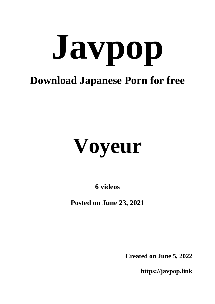



**6 videos**

**Posted on June 23, 2021**

**Created on June 5, 2022**

**<https://javpop.link>**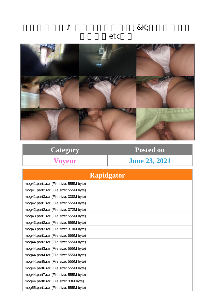J&K;

#### etc



# **Category Posted on**

| <b>Rapidgator</b>                      |
|----------------------------------------|
| mog41.part1.rar (File size: 555M byte) |
| mog41.part2.rar (File size: 555M byte) |
| mog41.part3.rar (File size: 338M byte) |
| mog42.part1.rar (File size: 555M byte) |
| mog42.part2.rar (File size: 372M byte) |
| mog43.part1.rar (File size: 555M byte) |
| mog43.part2.rar (File size: 555M byte) |
| mog43.part3.rar (File size: 310M byte) |
| mog44.part1.rar (File size: 555M byte) |
| mog44.part2.rar (File size: 555M byte) |
| mog44.part3.rar (File size: 555M byte) |
| mog44.part4.rar (File size: 555M byte) |
| mog44.part5.rar (File size: 555M byte) |
| mog44.part6.rar (File size: 555M byte) |
| mog44.part7.rar (File size: 555M byte) |
| mog44.part8.rar (File size: 33M byte)  |
| mog55.part1.rar (File size: 555M byte) |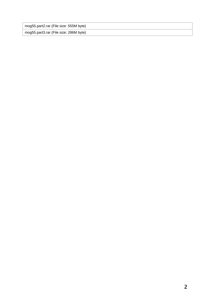[mog55.part2.rar](https://rapidgator.net/file/5a778ff0f6634288d7c99009eb43be50/mog55.part2.rar.html) (File size: 555M byte)

[mog55.part3.rar](https://rapidgator.net/file/8400d9b27794a66bfcd81cbc1e605973/mog55.part3.rar.html) (File size: 286M byte)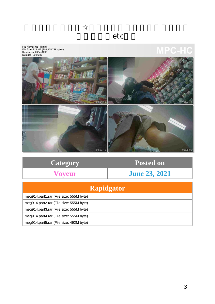#### etc

File Name: me (1).mp4<br>File Size: 914 MB (958,855,729 bytes)<br>Resolution: 2304x1296<br>Duration: 00:06:17

# **MPC-HC**



### **Category Posted on**

| Rapidgator                              |
|-----------------------------------------|
| meg914.part1.rar (File size: 555M byte) |
| meg914.part2.rar (File size: 555M byte) |
| meg914.part3.rar (File size: 555M byte) |
| meg914.part4.rar (File size: 555M byte) |
| meg914.part5.rar (File size: 492M byte) |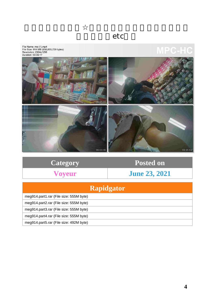#### etc

File Name: me (1).mp4<br>File Size: 914 MB (958,855,729 bytes)<br>Resolution: 2304x1296<br>Duration: 00:06:17

# **MPC-HC**



# **Category Posted on**

| Rapidgator                              |
|-----------------------------------------|
| meg914.part1.rar (File size: 555M byte) |
| meg914.part2.rar (File size: 555M byte) |
| meg914.part3.rar (File size: 555M byte) |
| meg914.part4.rar (File size: 555M byte) |
| meg914.part5.rar (File size: 492M byte) |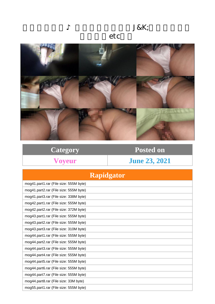J&K;

#### etc



# **Category Posted on**

| <b>Rapidgator</b>                      |
|----------------------------------------|
| mog41.part1.rar (File size: 555M byte) |
| mog41.part2.rar (File size: 555M byte) |
| mog41.part3.rar (File size: 338M byte) |
| mog42.part1.rar (File size: 555M byte) |
| mog42.part2.rar (File size: 372M byte) |
| mog43.part1.rar (File size: 555M byte) |
| mog43.part2.rar (File size: 555M byte) |
| mog43.part3.rar (File size: 310M byte) |
| mog44.part1.rar (File size: 555M byte) |
| mog44.part2.rar (File size: 555M byte) |
| mog44.part3.rar (File size: 555M byte) |
| mog44.part4.rar (File size: 555M byte) |
| mog44.part5.rar (File size: 555M byte) |
| mog44.part6.rar (File size: 555M byte) |
| mog44.part7.rar (File size: 555M byte) |
| mog44.part8.rar (File size: 33M byte)  |
| mog55.part1.rar (File size: 555M byte) |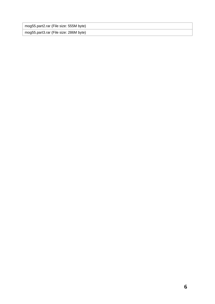[mog55.part2.rar](https://rapidgator.net/file/5a778ff0f6634288d7c99009eb43be50/mog55.part2.rar.html) (File size: 555M byte)

[mog55.part3.rar](https://rapidgator.net/file/8400d9b27794a66bfcd81cbc1e605973/mog55.part3.rar.html) (File size: 286M byte)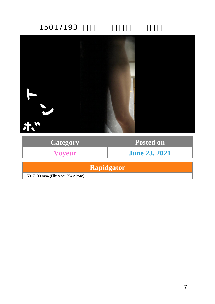#### 15017193

| $\bullet$       |                      |
|-----------------|----------------------|
| <b>Category</b> | <b>Posted on</b>     |
| <b>Voyeur</b>   | <b>June 23, 2021</b> |

**Rapidgator**

[15017193.mp4](https://rapidgator.net/file/d5cd963f76a330a688aab963b1f7e533/15017193.mp4.html) (File size: 254M byte)